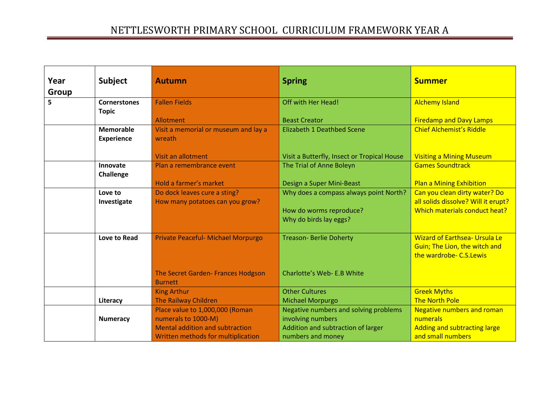| Year  | <b>Subject</b>      | <b>Autumn</b>                          | <b>Spring</b>                               | <b>Summer</b>                        |
|-------|---------------------|----------------------------------------|---------------------------------------------|--------------------------------------|
| Group |                     |                                        |                                             |                                      |
| 5     | <b>Cornerstones</b> | <b>Fallen Fields</b>                   | Off with Her Head!                          | <b>Alchemy Island</b>                |
|       | <b>Topic</b>        |                                        |                                             |                                      |
|       |                     | Allotment                              | <b>Beast Creator</b>                        | <b>Firedamp and Davy Lamps</b>       |
|       | <b>Memorable</b>    | Visit a memorial or museum and lay a   | Elizabeth 1 Deathbed Scene                  | <b>Chief Alchemist's Riddle</b>      |
|       | <b>Experience</b>   | wreath                                 |                                             |                                      |
|       |                     |                                        |                                             |                                      |
|       |                     | Visit an allotment                     | Visit a Butterfly, Insect or Tropical House | <b>Visiting a Mining Museum</b>      |
|       | Innovate            | Plan a remembrance event               | The Trial of Anne Boleyn                    | <b>Games Soundtrack</b>              |
|       | <b>Challenge</b>    |                                        |                                             |                                      |
|       |                     | Hold a farmer's market                 | Design a Super Mini-Beast                   | <b>Plan a Mining Exhibition</b>      |
|       | Love to             | Do dock leaves cure a sting?           | Why does a compass always point North?      | Can you clean dirty water? Do        |
|       | Investigate         | How many potatoes can you grow?        |                                             | all solids dissolve? Will it erupt?  |
|       |                     |                                        | How do worms reproduce?                     | Which materials conduct heat?        |
|       |                     |                                        | Why do birds lay eggs?                      |                                      |
|       | Love to Read        | Private Peaceful- Michael Morpurgo     | <b>Treason- Berlie Doherty</b>              | <b>Wizard of Earthsea- Ursula Le</b> |
|       |                     |                                        |                                             | Guin; The Lion, the witch and        |
|       |                     |                                        |                                             | the wardrobe- C.S.Lewis              |
|       |                     |                                        |                                             |                                      |
|       |                     | The Secret Garden- Frances Hodgson     | Charlotte's Web- E.B White                  |                                      |
|       |                     | <b>Burnett</b>                         |                                             |                                      |
|       |                     | <b>King Arthur</b>                     | <b>Other Cultures</b>                       | <b>Greek Myths</b>                   |
|       | Literacy            | The Railway Children                   | <b>Michael Morpurgo</b>                     | <b>The North Pole</b>                |
|       |                     | Place value to 1,000,000 (Roman        | Negative numbers and solving problems       | <b>Negative numbers and roman</b>    |
|       | <b>Numeracy</b>     | numerals to 1000-M)                    | involving numbers                           | numerals                             |
|       |                     | <b>Mental addition and subtraction</b> | Addition and subtraction of larger          | Adding and subtracting large         |
|       |                     | Written methods for multiplication     | numbers and money                           | and small numbers                    |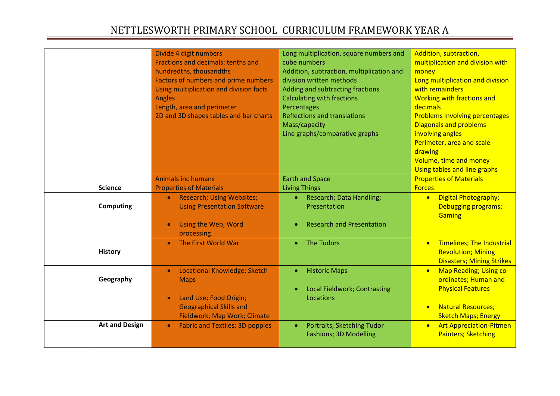|                       | Divide 4 digit numbers<br>Fractions and decimals: tenths and<br>hundredths, thousandths<br><b>Factors of numbers and prime numbers</b><br>Using multiplication and division facts<br>Angles<br>Length, area and perimeter<br>2D and 3D shapes tables and bar charts | Long multiplication, square numbers and<br>cube numbers<br>Addition, subtraction, multiplication and<br>division written methods<br>Adding and subtracting fractions<br><b>Calculating with fractions</b><br>Percentages<br><b>Reflections and translations</b><br>Mass/capacity<br>Line graphs/comparative graphs | Addition, subtraction,<br>multiplication and division with<br>money<br>Long multiplication and division<br>with remainders<br><b>Working with fractions and</b><br>decimals<br><b>Problems involving percentages</b><br><b>Diagonals and problems</b><br>involving angles<br>Perimeter, area and scale<br>drawing<br>Volume, time and money<br>Using tables and line graphs |
|-----------------------|---------------------------------------------------------------------------------------------------------------------------------------------------------------------------------------------------------------------------------------------------------------------|--------------------------------------------------------------------------------------------------------------------------------------------------------------------------------------------------------------------------------------------------------------------------------------------------------------------|-----------------------------------------------------------------------------------------------------------------------------------------------------------------------------------------------------------------------------------------------------------------------------------------------------------------------------------------------------------------------------|
|                       | <b>Animals inc humans</b>                                                                                                                                                                                                                                           | <b>Earth and Space</b>                                                                                                                                                                                                                                                                                             | <b>Properties of Materials</b>                                                                                                                                                                                                                                                                                                                                              |
| <b>Science</b>        | <b>Properties of Materials</b>                                                                                                                                                                                                                                      | <b>Living Things</b>                                                                                                                                                                                                                                                                                               | <b>Forces</b>                                                                                                                                                                                                                                                                                                                                                               |
| <b>Computing</b>      | <b>Research; Using Websites;</b><br>$\bullet$<br><b>Using Presentation Software</b><br>Using the Web; Word<br>processing                                                                                                                                            | Research; Data Handling;<br>$\bullet$<br>Presentation<br><b>Research and Presentation</b>                                                                                                                                                                                                                          | <b>Digital Photography;</b><br>$\bullet$<br>Debugging programs;<br><b>Gaming</b>                                                                                                                                                                                                                                                                                            |
| <b>History</b>        | The First World War                                                                                                                                                                                                                                                 | • The Tudors                                                                                                                                                                                                                                                                                                       | <b>Timelines; The Industrial</b><br>$\bullet$<br><b>Revolution; Mining</b><br><b>Disasters; Mining Strikes</b>                                                                                                                                                                                                                                                              |
| Geography             | <b>Locational Knowledge; Sketch</b><br>$\bullet$<br><b>Maps</b><br>Land Use; Food Origin;<br><b>Geographical Skills and</b><br>Fieldwork; Map Work; Climate                                                                                                         | <b>Historic Maps</b><br>$\bullet$<br>Local Fieldwork; Contrasting<br>Locations                                                                                                                                                                                                                                     | Map Reading; Using co-<br>$\bullet$<br>ordinates; Human and<br><b>Physical Features</b><br><b>Natural Resources;</b><br>$\bullet$<br><b>Sketch Maps; Energy</b>                                                                                                                                                                                                             |
| <b>Art and Design</b> | <b>Fabric and Textiles; 3D poppies</b><br>$\bullet$                                                                                                                                                                                                                 | <b>Portraits; Sketching Tudor</b><br>$\bullet$<br><b>Fashions; 3D Modelling</b>                                                                                                                                                                                                                                    | <b>Art Appreciation-Pitmen</b><br>$\bullet$<br><b>Painters; Sketching</b>                                                                                                                                                                                                                                                                                                   |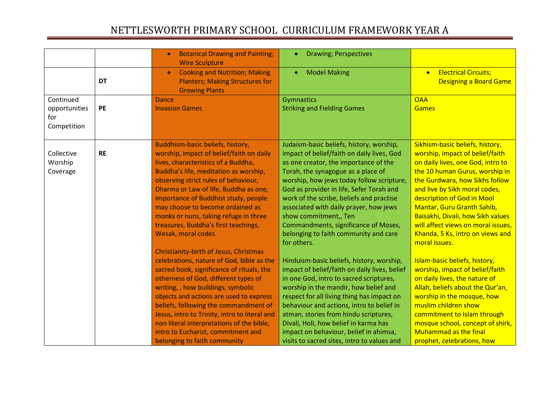|                                                  |           | <b>Botanical Drawing and Painting;</b><br><b>Wire Sculpture</b>                                                                                                                                                                                                                                                                                                                                                                                                             | <b>Drawing; Perspectives</b><br>۰                                                                                                                                                                                                                                                                                                                                                                                                                                             |                                                                                                                                                                                                                                                                                                                                                                                                          |
|--------------------------------------------------|-----------|-----------------------------------------------------------------------------------------------------------------------------------------------------------------------------------------------------------------------------------------------------------------------------------------------------------------------------------------------------------------------------------------------------------------------------------------------------------------------------|-------------------------------------------------------------------------------------------------------------------------------------------------------------------------------------------------------------------------------------------------------------------------------------------------------------------------------------------------------------------------------------------------------------------------------------------------------------------------------|----------------------------------------------------------------------------------------------------------------------------------------------------------------------------------------------------------------------------------------------------------------------------------------------------------------------------------------------------------------------------------------------------------|
|                                                  | <b>DT</b> | <b>Cooking and Nutrition; Making</b><br>$\bullet$<br><b>Planters; Making Structures for</b><br><b>Growing Plants</b>                                                                                                                                                                                                                                                                                                                                                        | <b>Model Making</b><br>$\bullet$                                                                                                                                                                                                                                                                                                                                                                                                                                              | <b>Electrical Circuits;</b><br>$\bullet$<br><b>Designing a Board Game</b>                                                                                                                                                                                                                                                                                                                                |
| Continued<br>opportunities<br>for<br>Competition | PE        | Dance<br><b>Invasion Games</b>                                                                                                                                                                                                                                                                                                                                                                                                                                              | <b>Gymnastics</b><br><b>Striking and Fielding Games</b>                                                                                                                                                                                                                                                                                                                                                                                                                       | <b>OAA</b><br><b>Games</b>                                                                                                                                                                                                                                                                                                                                                                               |
| Collective<br>Worship<br>Coverage                | <b>RE</b> | Buddhism-basic beliefs, history,<br>worship, impact of belief/faith on daily<br>lives, characteristics of a Buddha,<br>Buddha's life, meditation as worship,<br>observing strict rules of behaviour,<br>Dharma or Law of life, Buddha as one,<br>importance of Buddhist study, people<br>may choose to become ordained as<br>monks or nuns, taking refuge in three<br>treasures, Buddha's first teachings,<br>Wesak, moral codes.<br>Christianity-birth of Jesus, Christmas | Judaism-basic beliefs, history, worship,<br>impact of belief/faith on daily lives, God<br>as one creator, the importance of the<br>Torah, the synagogue as a place of<br>worship, how jews today follow scripture,<br>God as provider in life, Sefer Torah and<br>work of the scribe, beliefs and practise<br>associated with daily prayer, how jews<br>show commitment,, Ten<br>Commandments, significance of Moses,<br>belonging to faith community and care<br>for others. | Sikhism-basic beliefs, history,<br>worship, impact of belief/faith<br>on daily lives, one God, intro to<br>the 10 human Gurus, worship in<br>the Gurdwara, how Sikhs follow<br>and live by Sikh moral codes,<br>description of God in Mool<br>Mantar, Guru Granth Sahib,<br>Baisakhi, Divali, how Sikh values<br>will affect views on moral issues,<br>Khanda, 5 Ks, intro on views and<br>moral issues. |
|                                                  |           | celebrations, nature of God, bible as the<br>sacred book, significance of rituals, the<br>otherness of God, different types of<br>writing, , how buildings, symbolic<br>objects and actions are used to express<br>beliefs, following the commandment of<br>Jesus, intro to Trinity, intro to literal and<br>non literal interpretations of the bible,<br>intro to Eucharist, commitment and<br>belonging to faith community                                                | Hinduism-basic beliefs, history, worship,<br>impact of belief/faith on daily lives, belief<br>in one God, intro to sacred scriptures,<br>worship in the mandir, how belief and<br>respect for all living thing has impact on<br>behaviour and actions, intro to belief in<br>atman, stories from hindu scriptures,<br>Divali, Holi, how belief in karma has<br>impact on behaviour, belief in ahimsa,<br>visits to sacred sites, intro to values and                          | Islam-basic beliefs, history,<br>worship, impact of belief/faith<br>on daily lives, the nature of<br>Allah, beliefs about the Qur'an,<br>worship in the mosque, how<br>muslim children show<br>commitment to Islam through<br>mosque school, concept of shirk,<br><b>Muhammad as the final</b><br>prophet, celebrations, how                                                                             |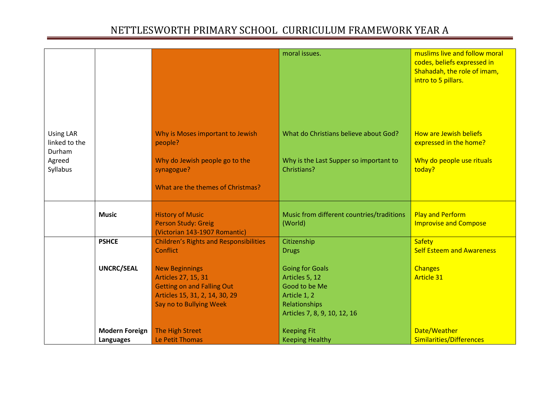| Why is Moses important to Jewish<br>What do Christians believe about God?<br>How are Jewish beliefs<br><b>Using LAR</b><br>linked to the<br>people?<br>expressed in the home?<br>Durham<br>Why do people use rituals<br>Why do Jewish people go to the<br>Why is the Last Supper so important to<br>Agreed<br>Christians?<br>Syllabus<br>synagogue?<br>today?<br>What are the themes of Christmas?<br>Music from different countries/traditions<br><b>Play and Perform</b><br><b>Music</b><br><b>History of Music</b><br>Person Study: Greig<br><b>Improvise and Compose</b><br>(World)<br>(Victorian 143-1907 Romantic)<br><b>PSHCE</b><br><b>Safety</b><br>Citizenship<br><b>Children's Rights and Responsibilities</b><br><b>Self Esteem and Awareness</b><br>Conflict<br><b>Drugs</b><br><b>UNCRC/SEAL</b><br><b>New Beginnings</b><br><b>Going for Goals</b><br><b>Changes</b><br>Articles 27, 15, 31<br>Articles 5, 12<br><b>Article 31</b><br><b>Getting on and Falling Out</b><br>Good to be Me<br>Articles 15, 31, 2, 14, 30, 29<br>Article 1, 2<br>Say no to Bullying Week<br>Relationships<br>Articles 7, 8, 9, 10, 12, 16<br>Date/Weather<br><b>Modern Foreign</b><br>The High Street<br><b>Keeping Fit</b> |                  |                 | moral issues.          | muslims live and follow moral<br>codes, beliefs expressed in<br>Shahadah, the role of imam,<br>intro to 5 pillars. |
|-------------------------------------------------------------------------------------------------------------------------------------------------------------------------------------------------------------------------------------------------------------------------------------------------------------------------------------------------------------------------------------------------------------------------------------------------------------------------------------------------------------------------------------------------------------------------------------------------------------------------------------------------------------------------------------------------------------------------------------------------------------------------------------------------------------------------------------------------------------------------------------------------------------------------------------------------------------------------------------------------------------------------------------------------------------------------------------------------------------------------------------------------------------------------------------------------------------------------|------------------|-----------------|------------------------|--------------------------------------------------------------------------------------------------------------------|
|                                                                                                                                                                                                                                                                                                                                                                                                                                                                                                                                                                                                                                                                                                                                                                                                                                                                                                                                                                                                                                                                                                                                                                                                                         |                  |                 |                        |                                                                                                                    |
|                                                                                                                                                                                                                                                                                                                                                                                                                                                                                                                                                                                                                                                                                                                                                                                                                                                                                                                                                                                                                                                                                                                                                                                                                         |                  |                 |                        |                                                                                                                    |
|                                                                                                                                                                                                                                                                                                                                                                                                                                                                                                                                                                                                                                                                                                                                                                                                                                                                                                                                                                                                                                                                                                                                                                                                                         |                  |                 |                        |                                                                                                                    |
|                                                                                                                                                                                                                                                                                                                                                                                                                                                                                                                                                                                                                                                                                                                                                                                                                                                                                                                                                                                                                                                                                                                                                                                                                         |                  |                 |                        |                                                                                                                    |
|                                                                                                                                                                                                                                                                                                                                                                                                                                                                                                                                                                                                                                                                                                                                                                                                                                                                                                                                                                                                                                                                                                                                                                                                                         |                  |                 |                        |                                                                                                                    |
|                                                                                                                                                                                                                                                                                                                                                                                                                                                                                                                                                                                                                                                                                                                                                                                                                                                                                                                                                                                                                                                                                                                                                                                                                         | <b>Languages</b> | Le Petit Thomas | <b>Keeping Healthy</b> | Similarities/Differences                                                                                           |